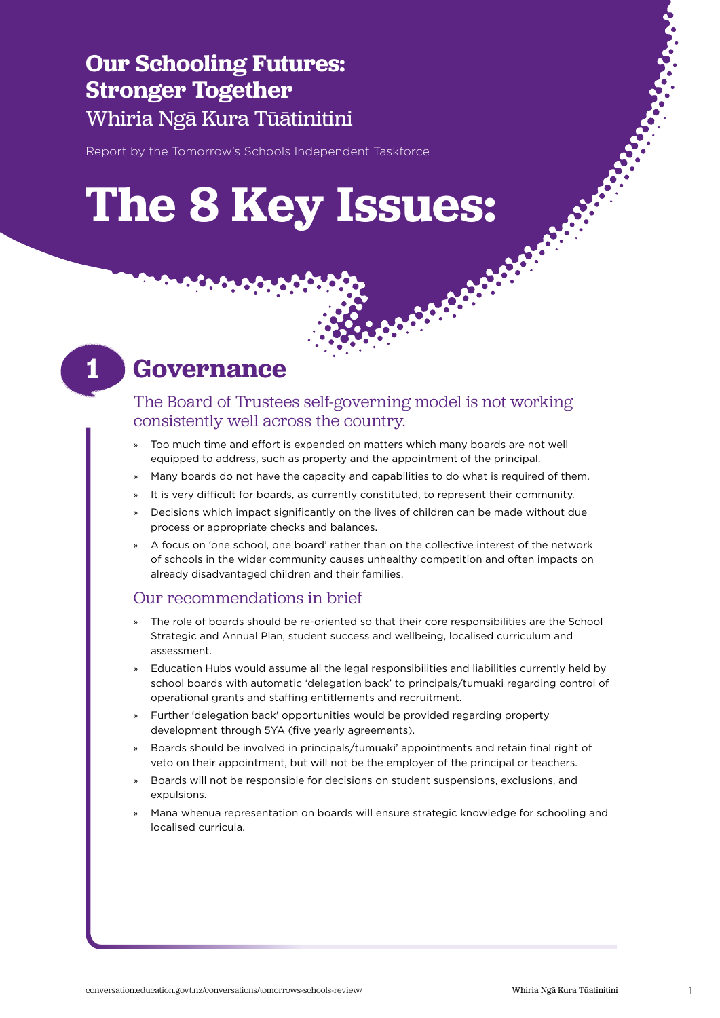### **Our Schooling Futures: Stronger Together** Whiria Ngā Kura Tūātinitini

Report by the Tomorrow's Schools Independent Taskforce

## **The 8 Key Issues:**

## **1**

### **Governance**

### The Board of Trustees self-governing model is not working consistently well across the country.

- » Too much time and effort is expended on matters which many boards are not well equipped to address, such as property and the appointment of the principal.
- » Many boards do not have the capacity and capabilities to do what is required of them.
- It is very difficult for boards, as currently constituted, to represent their community.
- » Decisions which impact significantly on the lives of children can be made without due process or appropriate checks and balances.
- » A focus on 'one school, one board' rather than on the collective interest of the network of schools in the wider community causes unhealthy competition and often impacts on already disadvantaged children and their families.

#### Our recommendations in brief

- » The role of boards should be re-oriented so that their core responsibilities are the School Strategic and Annual Plan, student success and wellbeing, localised curriculum and assessment.
- » Education Hubs would assume all the legal responsibilities and liabilities currently held by school boards with automatic 'delegation back' to principals/tumuaki regarding control of operational grants and staffing entitlements and recruitment.
- » Further 'delegation back' opportunities would be provided regarding property development through 5YA (five yearly agreements).
- » Boards should be involved in principals/tumuaki' appointments and retain final right of veto on their appointment, but will not be the employer of the principal or teachers.
- » Boards will not be responsible for decisions on student suspensions, exclusions, and expulsions.
- » Mana whenua representation on boards will ensure strategic knowledge for schooling and localised curricula.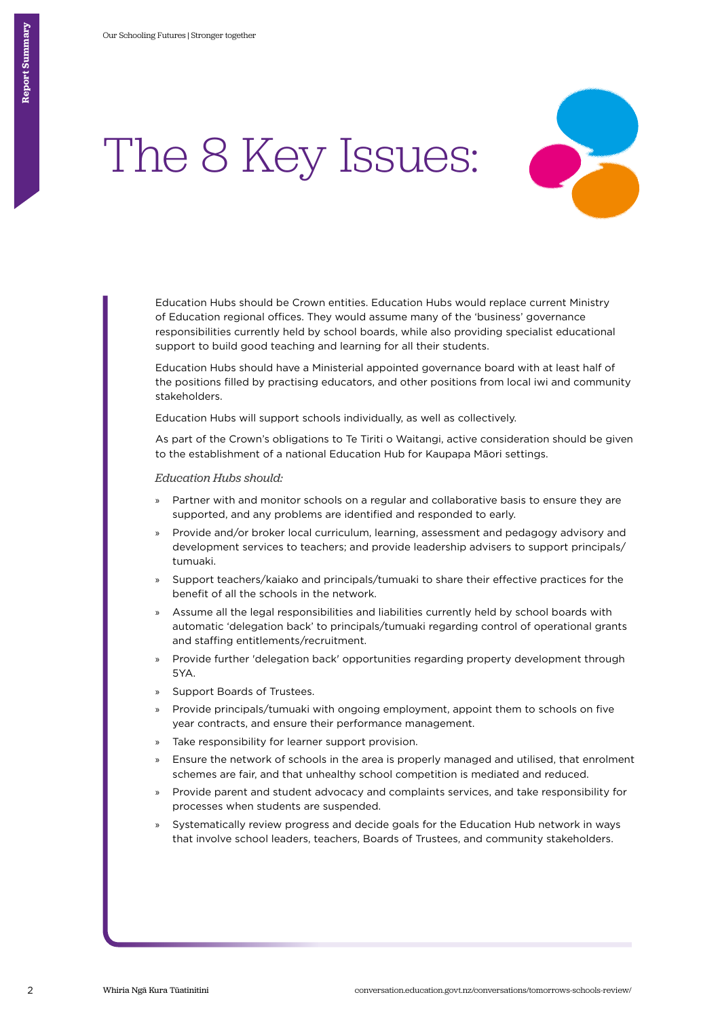

Education Hubs should be Crown entities. Education Hubs would replace current Ministry of Education regional offices. They would assume many of the 'business' governance responsibilities currently held by school boards, while also providing specialist educational support to build good teaching and learning for all their students.

Education Hubs should have a Ministerial appointed governance board with at least half of the positions filled by practising educators, and other positions from local iwi and community stakeholders.

Education Hubs will support schools individually, as well as collectively.

As part of the Crown's obligations to Te Tiriti o Waitangi, active consideration should be given to the establishment of a national Education Hub for Kaupapa Māori settings.

*Education Hubs should:* 

- » Partner with and monitor schools on a regular and collaborative basis to ensure they are supported, and any problems are identified and responded to early.
- » Provide and/or broker local curriculum, learning, assessment and pedagogy advisory and development services to teachers; and provide leadership advisers to support principals/ tumuaki.
- » Support teachers/kaiako and principals/tumuaki to share their effective practices for the benefit of all the schools in the network.
- » Assume all the legal responsibilities and liabilities currently held by school boards with automatic 'delegation back' to principals/tumuaki regarding control of operational grants and staffing entitlements/recruitment.
- » Provide further 'delegation back' opportunities regarding property development through 5YA.
- » Support Boards of Trustees.
- » Provide principals/tumuaki with ongoing employment, appoint them to schools on five year contracts, and ensure their performance management.
- » Take responsibility for learner support provision.
- » Ensure the network of schools in the area is properly managed and utilised, that enrolment schemes are fair, and that unhealthy school competition is mediated and reduced.
- » Provide parent and student advocacy and complaints services, and take responsibility for processes when students are suspended.
- » Systematically review progress and decide goals for the Education Hub network in ways that involve school leaders, teachers, Boards of Trustees, and community stakeholders.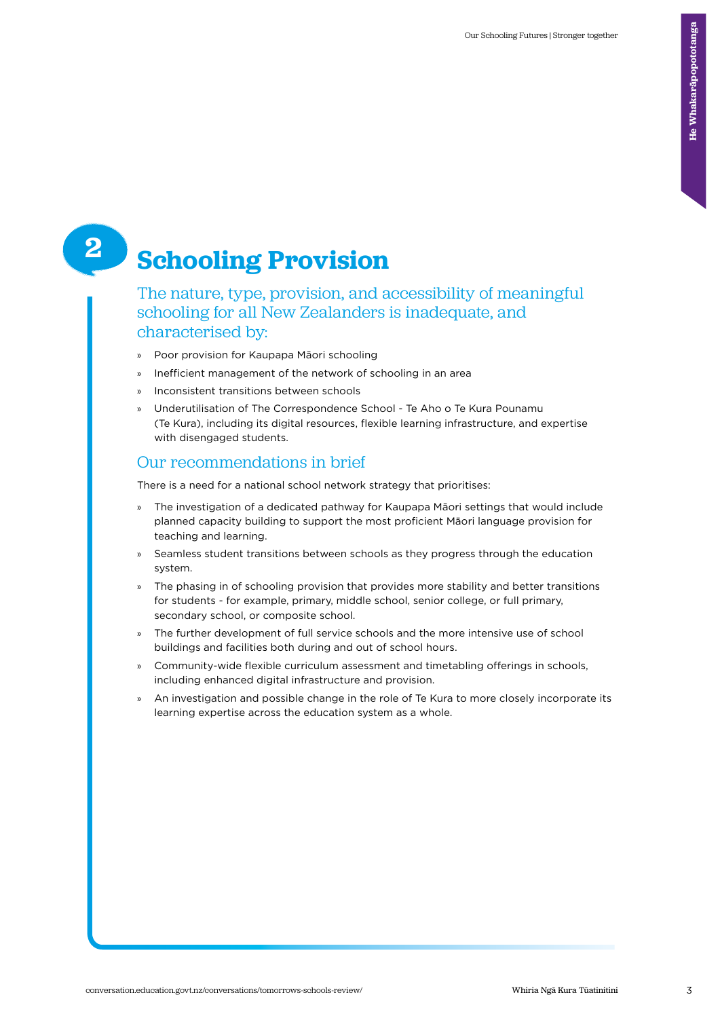## **Schooling Provision**

The nature, type, provision, and accessibility of meaningful schooling for all New Zealanders is inadequate, and characterised by:

- » Poor provision for Kaupapa Māori schooling
- » Inefficient management of the network of schooling in an area
- » Inconsistent transitions between schools
- » Underutilisation of The Correspondence School Te Aho o Te Kura Pounamu (Te Kura), including its digital resources, flexible learning infrastructure, and expertise with disengaged students.

### Our recommendations in brief

There is a need for a national school network strategy that prioritises:

- » The investigation of a dedicated pathway for Kaupapa Māori settings that would include planned capacity building to support the most proficient Māori language provision for teaching and learning.
- » Seamless student transitions between schools as they progress through the education system.
- » The phasing in of schooling provision that provides more stability and better transitions for students - for example, primary, middle school, senior college, or full primary, secondary school, or composite school.
- » The further development of full service schools and the more intensive use of school buildings and facilities both during and out of school hours.
- » Community-wide flexible curriculum assessment and timetabling offerings in schools, including enhanced digital infrastructure and provision.
- » An investigation and possible change in the role of Te Kura to more closely incorporate its learning expertise across the education system as a whole.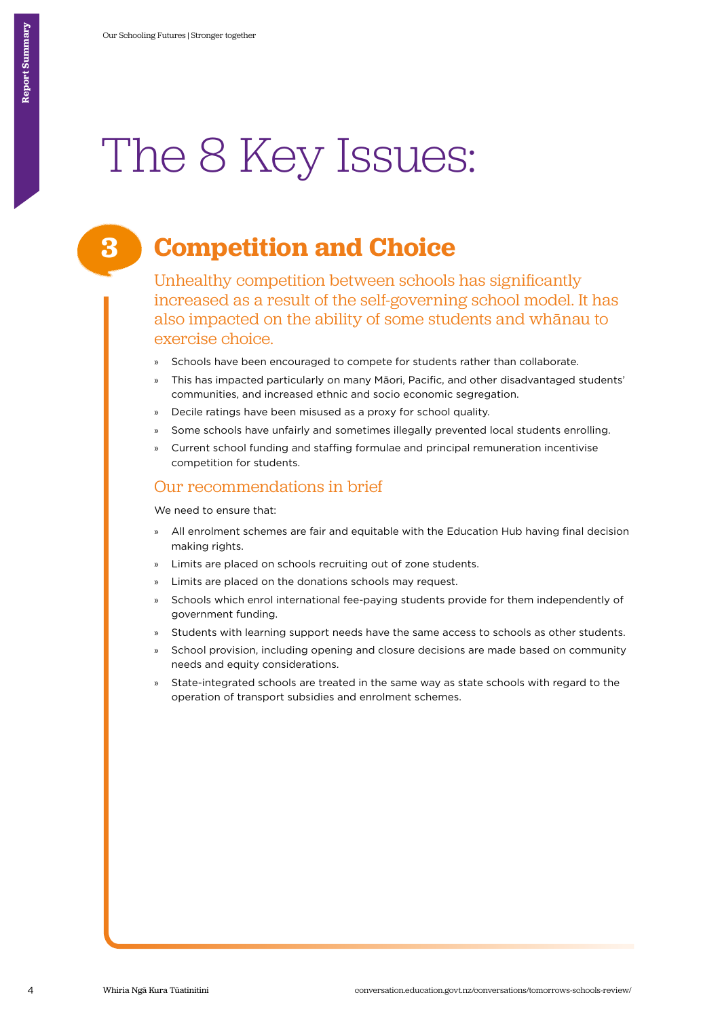# The 8 Key Issues:

## **Competition and Choice**

Unhealthy competition between schools has significantly increased as a result of the self-governing school model. It has also impacted on the ability of some students and whānau to exercise choice.

- Schools have been encouraged to compete for students rather than collaborate.
- » This has impacted particularly on many Māori, Pacific, and other disadvantaged students' communities, and increased ethnic and socio economic segregation.
- » Decile ratings have been misused as a proxy for school quality.
- Some schools have unfairly and sometimes illegally prevented local students enrolling.
- » Current school funding and staffing formulae and principal remuneration incentivise competition for students.

#### Our recommendations in brief

We need to ensure that:

- » All enrolment schemes are fair and equitable with the Education Hub having final decision making rights.
- » Limits are placed on schools recruiting out of zone students.
- Limits are placed on the donations schools may request.
- » Schools which enrol international fee-paying students provide for them independently of government funding.
- » Students with learning support needs have the same access to schools as other students.
- School provision, including opening and closure decisions are made based on community needs and equity considerations.
- State-integrated schools are treated in the same way as state schools with regard to the operation of transport subsidies and enrolment schemes.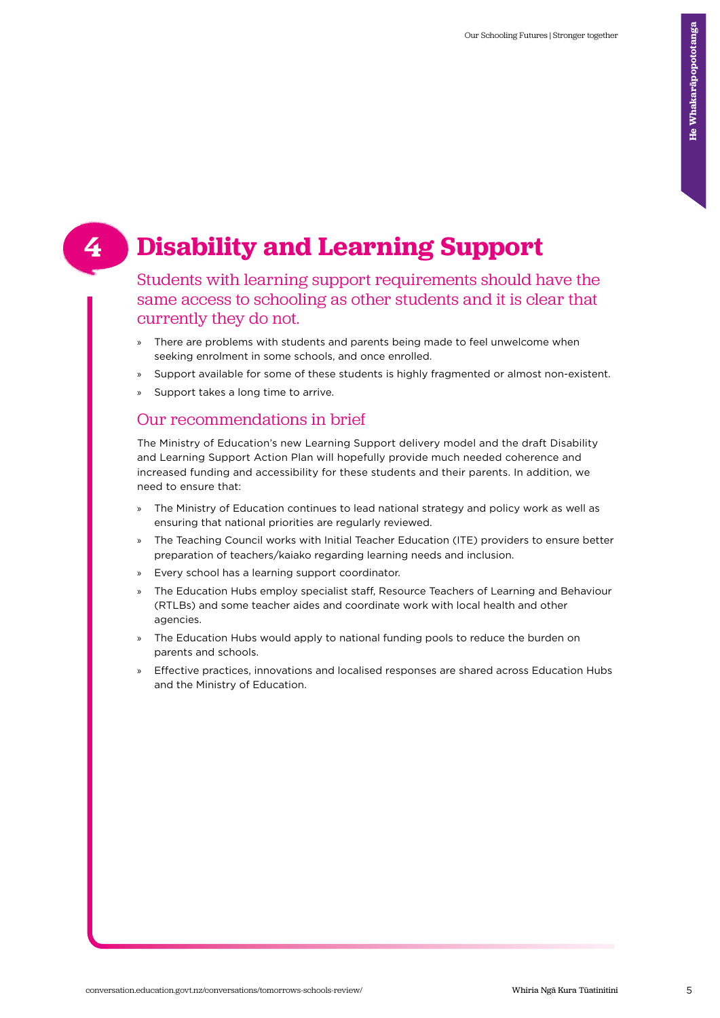## **Disability and Learning Support**

Students with learning support requirements should have the same access to schooling as other students and it is clear that currently they do not.

- » There are problems with students and parents being made to feel unwelcome when seeking enrolment in some schools, and once enrolled.
- » Support available for some of these students is highly fragmented or almost non-existent.
- Support takes a long time to arrive.

#### Our recommendations in brief

The Ministry of Education's new Learning Support delivery model and the draft Disability and Learning Support Action Plan will hopefully provide much needed coherence and increased funding and accessibility for these students and their parents. In addition, we need to ensure that:

- » The Ministry of Education continues to lead national strategy and policy work as well as ensuring that national priorities are regularly reviewed.
- » The Teaching Council works with Initial Teacher Education (ITE) providers to ensure better preparation of teachers/kaiako regarding learning needs and inclusion.
- » Every school has a learning support coordinator.
- » The Education Hubs employ specialist staff, Resource Teachers of Learning and Behaviour (RTLBs) and some teacher aides and coordinate work with local health and other agencies.
- » The Education Hubs would apply to national funding pools to reduce the burden on parents and schools.
- » Effective practices, innovations and localised responses are shared across Education Hubs and the Ministry of Education.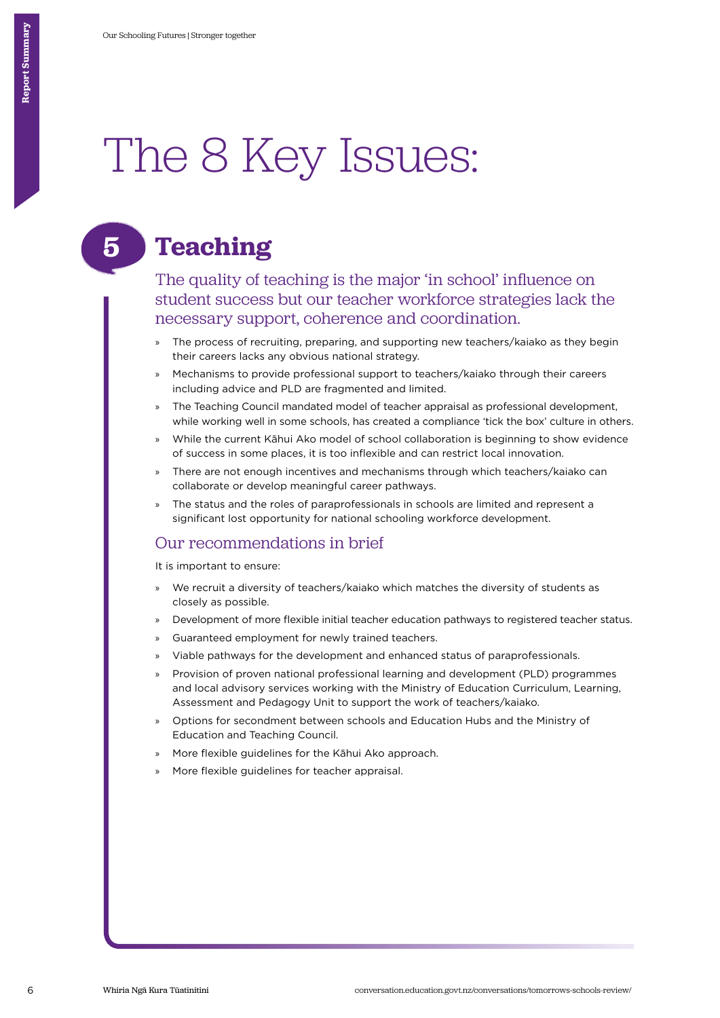## The 8 Key Issues:

## **Teaching**

**5**

The quality of teaching is the major 'in school' influence on student success but our teacher workforce strategies lack the necessary support, coherence and coordination.

- The process of recruiting, preparing, and supporting new teachers/kaiako as they begin their careers lacks any obvious national strategy.
- » Mechanisms to provide professional support to teachers/kaiako through their careers including advice and PLD are fragmented and limited.
- » The Teaching Council mandated model of teacher appraisal as professional development, while working well in some schools, has created a compliance 'tick the box' culture in others.
- » While the current Kāhui Ako model of school collaboration is beginning to show evidence of success in some places, it is too inflexible and can restrict local innovation.
- » There are not enough incentives and mechanisms through which teachers/kaiako can collaborate or develop meaningful career pathways.
- » The status and the roles of paraprofessionals in schools are limited and represent a significant lost opportunity for national schooling workforce development.

#### Our recommendations in brief

It is important to ensure:

- » We recruit a diversity of teachers/kaiako which matches the diversity of students as closely as possible.
- » Development of more flexible initial teacher education pathways to registered teacher status.
- » Guaranteed employment for newly trained teachers.
- » Viable pathways for the development and enhanced status of paraprofessionals.
- » Provision of proven national professional learning and development (PLD) programmes and local advisory services working with the Ministry of Education Curriculum, Learning, Assessment and Pedagogy Unit to support the work of teachers/kaiako.
- » Options for secondment between schools and Education Hubs and the Ministry of Education and Teaching Council.
- » More flexible guidelines for the Kāhui Ako approach.
- » More flexible guidelines for teacher appraisal.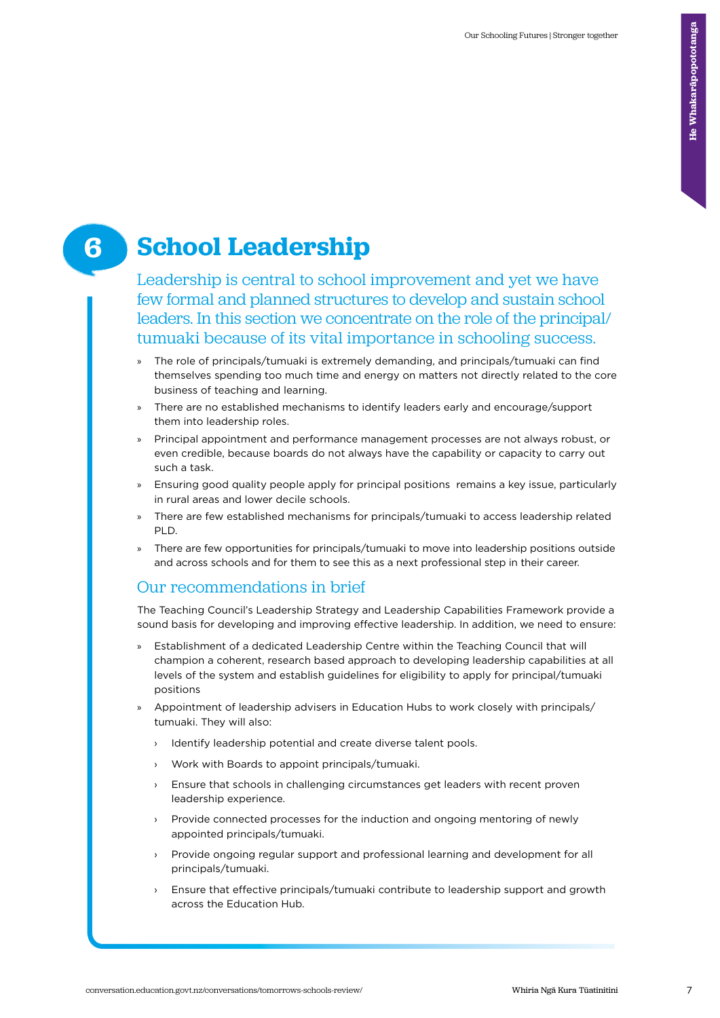## **School Leadership 6**

Leadership is central to school improvement and yet we have few formal and planned structures to develop and sustain school leaders. In this section we concentrate on the role of the principal/ tumuaki because of its vital importance in schooling success.

- » The role of principals/tumuaki is extremely demanding, and principals/tumuaki can find themselves spending too much time and energy on matters not directly related to the core business of teaching and learning.
- » There are no established mechanisms to identify leaders early and encourage/support them into leadership roles.
- » Principal appointment and performance management processes are not always robust, or even credible, because boards do not always have the capability or capacity to carry out such a task.
- » Ensuring good quality people apply for principal positions remains a key issue, particularly in rural areas and lower decile schools.
- » There are few established mechanisms for principals/tumuaki to access leadership related PLD.
- » There are few opportunities for principals/tumuaki to move into leadership positions outside and across schools and for them to see this as a next professional step in their career.

#### Our recommendations in brief

The Teaching Council's Leadership Strategy and Leadership Capabilities Framework provide a sound basis for developing and improving effective leadership. In addition, we need to ensure:

- » Establishment of a dedicated Leadership Centre within the Teaching Council that will champion a coherent, research based approach to developing leadership capabilities at all levels of the system and establish guidelines for eligibility to apply for principal/tumuaki positions
- » Appointment of leadership advisers in Education Hubs to work closely with principals/ tumuaki. They will also:
	- › Identify leadership potential and create diverse talent pools.
	- › Work with Boards to appoint principals/tumuaki.
	- › Ensure that schools in challenging circumstances get leaders with recent proven leadership experience.
	- › Provide connected processes for the induction and ongoing mentoring of newly appointed principals/tumuaki.
	- Provide ongoing regular support and professional learning and development for all principals/tumuaki.
	- Ensure that effective principals/tumuaki contribute to leadership support and growth across the Education Hub.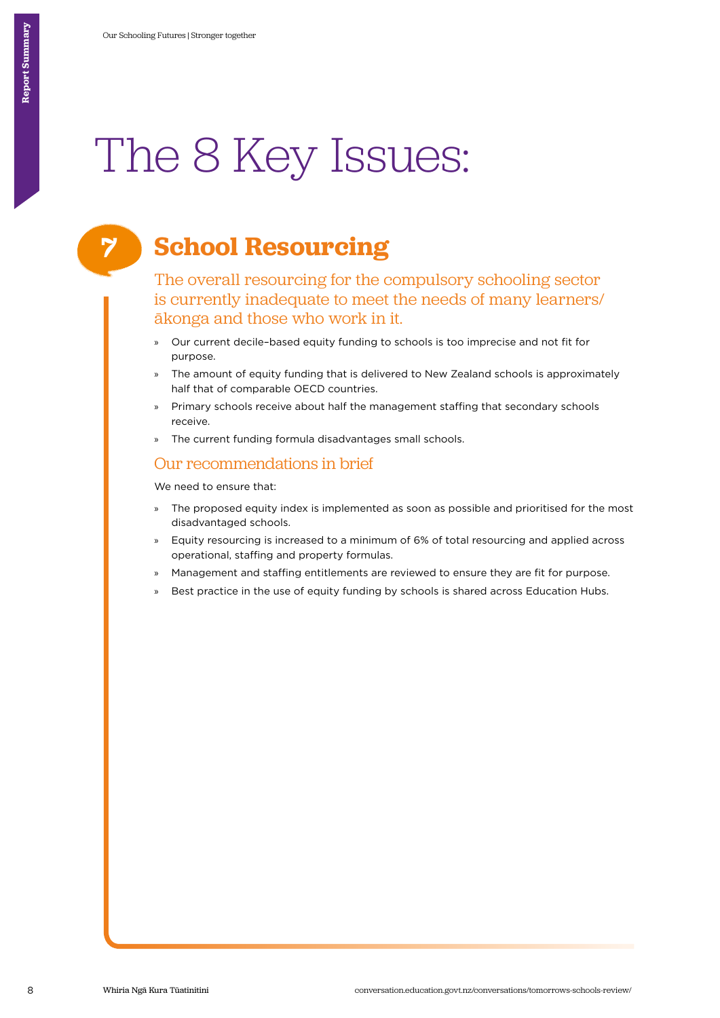# The 8 Key Issues:

## **School Resourcing**

The overall resourcing for the compulsory schooling sector is currently inadequate to meet the needs of many learners/ ākonga and those who work in it.

- » Our current decile–based equity funding to schools is too imprecise and not fit for purpose.
- » The amount of equity funding that is delivered to New Zealand schools is approximately half that of comparable OECD countries.
- » Primary schools receive about half the management staffing that secondary schools receive.
- » The current funding formula disadvantages small schools.

#### Our recommendations in brief

We need to ensure that:

- » The proposed equity index is implemented as soon as possible and prioritised for the most disadvantaged schools.
- » Equity resourcing is increased to a minimum of 6% of total resourcing and applied across operational, staffing and property formulas.
- » Management and staffing entitlements are reviewed to ensure they are fit for purpose.
- » Best practice in the use of equity funding by schools is shared across Education Hubs.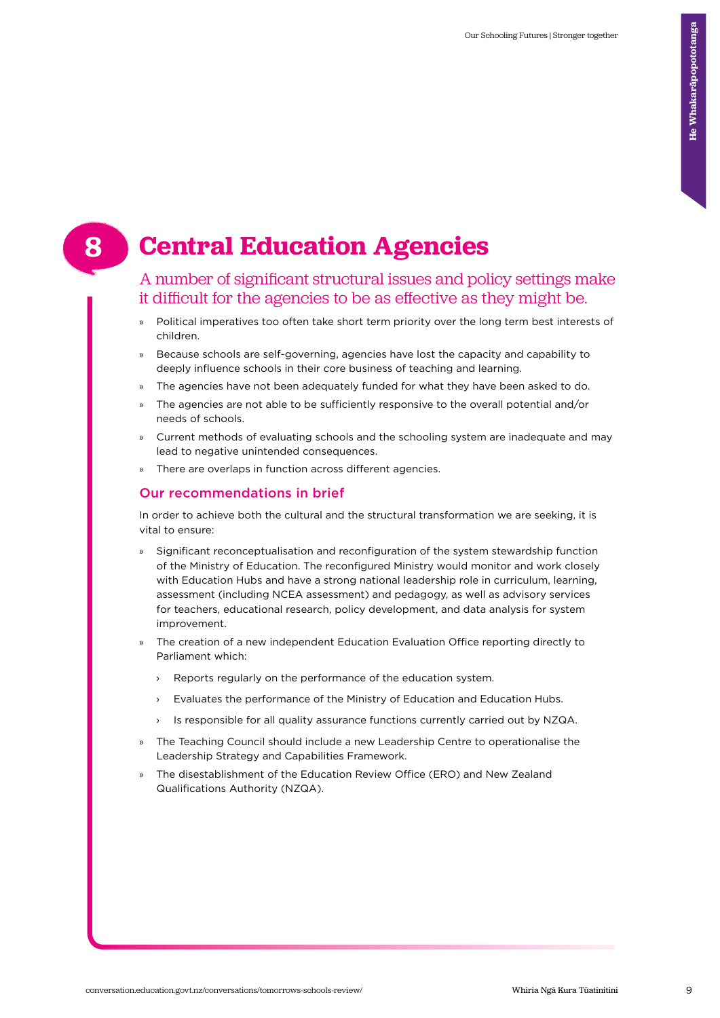## **Central Education Agencies**

#### A number of significant structural issues and policy settings make it difficult for the agencies to be as effective as they might be.

- » Political imperatives too often take short term priority over the long term best interests of children.
- » Because schools are self-governing, agencies have lost the capacity and capability to deeply influence schools in their core business of teaching and learning.
- The agencies have not been adequately funded for what they have been asked to do.
- » The agencies are not able to be sufficiently responsive to the overall potential and/or needs of schools.
- » Current methods of evaluating schools and the schooling system are inadequate and may lead to negative unintended consequences.
- » There are overlaps in function across different agencies.

#### Our recommendations in brief

In order to achieve both the cultural and the structural transformation we are seeking, it is vital to ensure:

- » Significant reconceptualisation and reconfiguration of the system stewardship function of the Ministry of Education. The reconfigured Ministry would monitor and work closely with Education Hubs and have a strong national leadership role in curriculum, learning, assessment (including NCEA assessment) and pedagogy, as well as advisory services for teachers, educational research, policy development, and data analysis for system improvement.
- » The creation of a new independent Education Evaluation Office reporting directly to Parliament which:
	- › Reports regularly on the performance of the education system.
	- › Evaluates the performance of the Ministry of Education and Education Hubs.
	- › Is responsible for all quality assurance functions currently carried out by NZQA.
- » The Teaching Council should include a new Leadership Centre to operationalise the Leadership Strategy and Capabilities Framework.
- » The disestablishment of the Education Review Office (ERO) and New Zealand Qualifications Authority (NZQA).